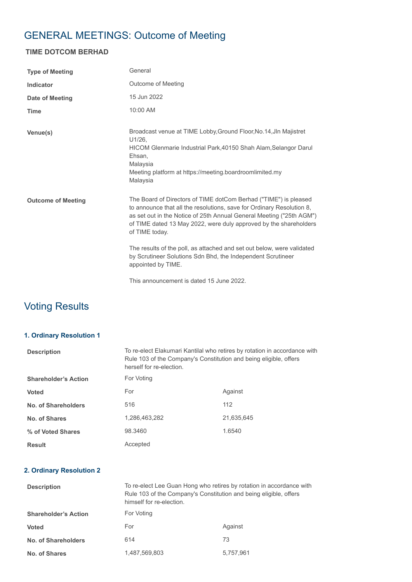# GENERAL MEETINGS: Outcome of Meeting

### **TIME DOTCOM BERHAD**

| <b>Type of Meeting</b>    | General                                                                                                                                                                                                                                                                                                  |
|---------------------------|----------------------------------------------------------------------------------------------------------------------------------------------------------------------------------------------------------------------------------------------------------------------------------------------------------|
| <b>Indicator</b>          | Outcome of Meeting                                                                                                                                                                                                                                                                                       |
| Date of Meeting           | 15 Jun 2022                                                                                                                                                                                                                                                                                              |
| <b>Time</b>               | 10:00 AM                                                                                                                                                                                                                                                                                                 |
| Venue(s)                  | Broadcast venue at TIME Lobby, Ground Floor, No. 14, Jln Majistret<br>U1/26,<br>HICOM Glenmarie Industrial Park, 40150 Shah Alam, Selangor Darul<br>Ehsan,<br>Malaysia<br>Meeting platform at https://meeting.boardroomlimited.my<br>Malaysia                                                            |
| <b>Outcome of Meeting</b> | The Board of Directors of TIME dotCom Berhad ("TIME") is pleased<br>to announce that all the resolutions, save for Ordinary Resolution 8,<br>as set out in the Notice of 25th Annual General Meeting ("25th AGM")<br>of TIME dated 13 May 2022, were duly approved by the shareholders<br>of TIME today. |
|                           | The results of the poll, as attached and set out below, were validated<br>by Scrutineer Solutions Sdn Bhd, the Independent Scrutineer<br>appointed by TIME.                                                                                                                                              |
|                           | This announcement is dated 15 June 2022.                                                                                                                                                                                                                                                                 |

## Voting Results

#### **1. Ordinary Resolution 1**

| <b>Description</b>          | To re-elect Elakumari Kantilal who retires by rotation in accordance with<br>Rule 103 of the Company's Constitution and being eligible, offers<br>herself for re-election. |            |
|-----------------------------|----------------------------------------------------------------------------------------------------------------------------------------------------------------------------|------------|
| <b>Shareholder's Action</b> | For Voting                                                                                                                                                                 |            |
| <b>Voted</b>                | For                                                                                                                                                                        | Against    |
| No. of Shareholders         | 516                                                                                                                                                                        | 112        |
| No. of Shares               | 1.286.463.282                                                                                                                                                              | 21.635.645 |
| % of Voted Shares           | 98.3460                                                                                                                                                                    | 1.6540     |
| <b>Result</b>               | Accepted                                                                                                                                                                   |            |

#### **2. Ordinary Resolution 2**

| <b>Description</b>          | To re-elect Lee Guan Hong who retires by rotation in accordance with<br>Rule 103 of the Company's Constitution and being eligible, offers<br>himself for re-election. |           |
|-----------------------------|-----------------------------------------------------------------------------------------------------------------------------------------------------------------------|-----------|
| <b>Shareholder's Action</b> | For Voting                                                                                                                                                            |           |
| <b>Voted</b>                | For                                                                                                                                                                   | Against   |
| <b>No. of Shareholders</b>  | 614                                                                                                                                                                   | 73        |
| No. of Shares               | 1,487,569,803                                                                                                                                                         | 5.757.961 |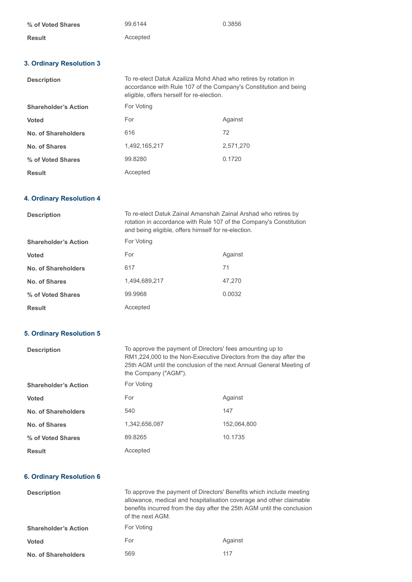| % of Voted Shares | 99.6144  | 0.3856 |
|-------------------|----------|--------|
| Result            | Accepted |        |

#### **3. Ordinary Resolution 3**

| <b>Description</b>          | To re-elect Datuk Azailiza Mohd Ahad who retires by rotation in<br>accordance with Rule 107 of the Company's Constitution and being<br>eligible, offers herself for re-election. |           |
|-----------------------------|----------------------------------------------------------------------------------------------------------------------------------------------------------------------------------|-----------|
| <b>Shareholder's Action</b> | For Voting                                                                                                                                                                       |           |
| <b>Voted</b>                | For                                                                                                                                                                              | Against   |
| No. of Shareholders         | 616                                                                                                                                                                              | 72        |
| No. of Shares               | 1.492.165.217                                                                                                                                                                    | 2.571.270 |
| % of Voted Shares           | 99.8280                                                                                                                                                                          | 0.1720    |
| <b>Result</b>               | Accepted                                                                                                                                                                         |           |

#### **4. Ordinary Resolution 4**

| <b>Description</b>          | To re-elect Datuk Zainal Amanshah Zainal Arshad who retires by<br>rotation in accordance with Rule 107 of the Company's Constitution<br>and being eligible, offers himself for re-election. |         |
|-----------------------------|---------------------------------------------------------------------------------------------------------------------------------------------------------------------------------------------|---------|
| <b>Shareholder's Action</b> | For Voting                                                                                                                                                                                  |         |
| <b>Voted</b>                | For                                                                                                                                                                                         | Against |
| No. of Shareholders         | 617                                                                                                                                                                                         | 71      |
| No. of Shares               | 1.494.689.217                                                                                                                                                                               | 47.270  |
| % of Voted Shares           | 99.9968                                                                                                                                                                                     | 0.0032  |
| <b>Result</b>               | Accepted                                                                                                                                                                                    |         |

### **5. Ordinary Resolution 5**

| <b>Description</b>          | To approve the payment of Directors' fees amounting up to<br>RM1,224,000 to the Non-Executive Directors from the day after the<br>25th AGM until the conclusion of the next Annual General Meeting of<br>the Company ("AGM"). |             |
|-----------------------------|-------------------------------------------------------------------------------------------------------------------------------------------------------------------------------------------------------------------------------|-------------|
| <b>Shareholder's Action</b> | For Voting                                                                                                                                                                                                                    |             |
| <b>Voted</b>                | For                                                                                                                                                                                                                           | Against     |
| No. of Shareholders         | 540                                                                                                                                                                                                                           | 147         |
| No. of Shares               | 1,342,656,087                                                                                                                                                                                                                 | 152.064.800 |
| % of Voted Shares           | 89.8265                                                                                                                                                                                                                       | 10.1735     |
| <b>Result</b>               | Accepted                                                                                                                                                                                                                      |             |

#### **6. Ordinary Resolution 6**

| <b>Description</b>          | To approve the payment of Directors' Benefits which include meeting<br>allowance, medical and hospitalisation coverage and other claimable<br>benefits incurred from the day after the 25th AGM until the conclusion<br>of the next AGM. |         |
|-----------------------------|------------------------------------------------------------------------------------------------------------------------------------------------------------------------------------------------------------------------------------------|---------|
| <b>Shareholder's Action</b> | For Voting                                                                                                                                                                                                                               |         |
| <b>Voted</b>                | For                                                                                                                                                                                                                                      | Against |
| <b>No. of Shareholders</b>  | 569                                                                                                                                                                                                                                      | 117     |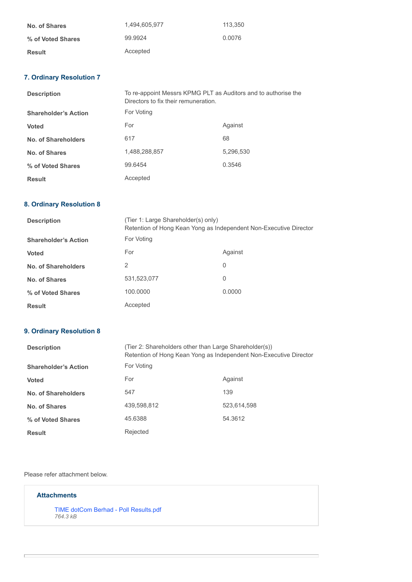| No. of Shares     | 1.494.605.977 | 113.350 |
|-------------------|---------------|---------|
| % of Voted Shares | 99.9924       | 0.0076  |
| <b>Result</b>     | Accepted      |         |

### **7. Ordinary Resolution 7**

| <b>Description</b>          | To re-appoint Messrs KPMG PLT as Auditors and to authorise the<br>Directors to fix their remuneration. |           |
|-----------------------------|--------------------------------------------------------------------------------------------------------|-----------|
| <b>Shareholder's Action</b> | For Voting                                                                                             |           |
| <b>Voted</b>                | For                                                                                                    | Against   |
| No. of Shareholders         | 617                                                                                                    | 68        |
| No. of Shares               | 1,488,288,857                                                                                          | 5,296,530 |
| % of Voted Shares           | 99.6454                                                                                                | 0.3546    |
| <b>Result</b>               | Accepted                                                                                               |           |

#### **8. Ordinary Resolution 8**

| <b>Description</b>          | (Tier 1: Large Shareholder(s) only)<br>Retention of Hong Kean Yong as Independent Non-Executive Director |         |
|-----------------------------|----------------------------------------------------------------------------------------------------------|---------|
| <b>Shareholder's Action</b> | For Voting                                                                                               |         |
| <b>Voted</b>                | For                                                                                                      | Against |
| No. of Shareholders         | 2                                                                                                        | 0       |
| No. of Shares               | 531,523,077                                                                                              | 0       |
| % of Voted Shares           | 100,0000                                                                                                 | 0.0000  |
| <b>Result</b>               | Accepted                                                                                                 |         |

#### **9. Ordinary Resolution 8**

| <b>Description</b>          | (Tier 2: Shareholders other than Large Shareholder(s))<br>Retention of Hong Kean Yong as Independent Non-Executive Director |             |
|-----------------------------|-----------------------------------------------------------------------------------------------------------------------------|-------------|
| <b>Shareholder's Action</b> | For Voting                                                                                                                  |             |
| <b>Voted</b>                | For                                                                                                                         | Against     |
| No. of Shareholders         | 547                                                                                                                         | 139         |
| No. of Shares               | 439.598.812                                                                                                                 | 523,614,598 |
| % of Voted Shares           | 45.6388                                                                                                                     | 54.3612     |
| <b>Result</b>               | Rejected                                                                                                                    |             |

Please refer attachment below.

#### **Attachments**

[TIME dotCom Berhad - Poll Results.pdf](https://disclosure.bursamalaysia.com/FileAccess/apbursaweb/download?id=23759&name=EA_GM_ATTACHMENTS) *764.3 kB*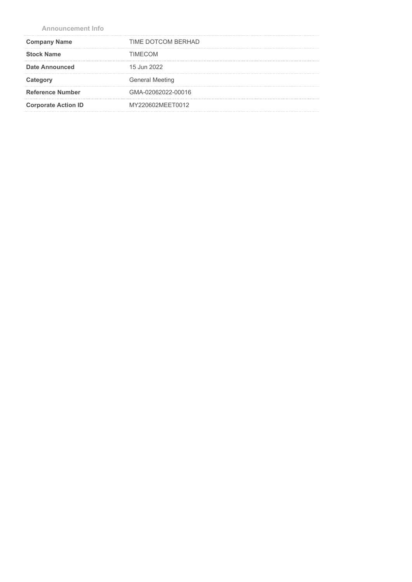**Announcement Info**

| <b>Company Name</b>        | TIME DOTCOM BERHAD     |
|----------------------------|------------------------|
| <b>Stock Name</b>          | TIMFCOM                |
| <b>Date Announced</b>      | 15 Jun 2022            |
| Category                   | <b>General Meeting</b> |
| <b>Reference Number</b>    | GMA-02062022-00016     |
| <b>Corporate Action ID</b> | MY220602MEET0012       |